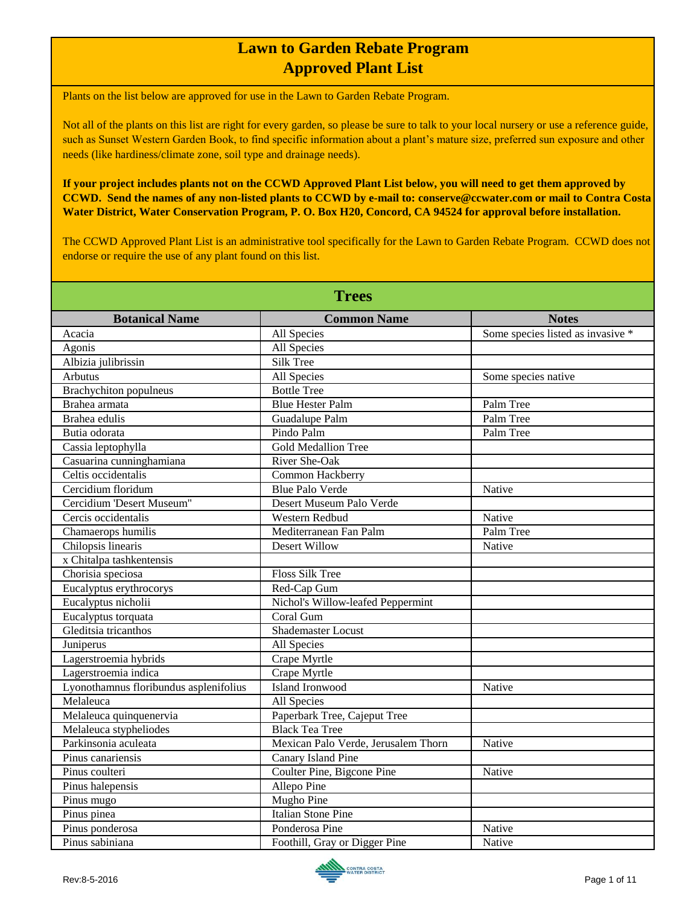Plants on the list below are approved for use in the Lawn to Garden Rebate Program.

Not all of the plants on this list are right for every garden, so please be sure to talk to your local nursery or use a reference guide, such as Sunset Western Garden Book, to find specific information about a plant's mature size, preferred sun exposure and other needs (like hardiness/climate zone, soil type and drainage needs).

**If your project includes plants not on the CCWD Approved Plant List below, you will need to get them approved by CCWD. Send the names of any non-listed plants to CCWD by e-mail to: conserve@ccwater.com or mail to Contra Costa Water District, Water Conservation Program, P. O. Box H20, Concord, CA 94524 for approval before installation.**

The CCWD Approved Plant List is an administrative tool specifically for the Lawn to Garden Rebate Program. CCWD does not endorse or require the use of any plant found on this list.

| <b>Trees</b>                           |                                     |                                   |
|----------------------------------------|-------------------------------------|-----------------------------------|
| <b>Botanical Name</b>                  | <b>Common Name</b>                  | <b>Notes</b>                      |
| Acacia                                 | All Species                         | Some species listed as invasive * |
| Agonis                                 | <b>All Species</b>                  |                                   |
| Albizia julibrissin                    | <b>Silk Tree</b>                    |                                   |
| Arbutus                                | All Species                         | Some species native               |
| <b>Brachychiton</b> populneus          | <b>Bottle Tree</b>                  |                                   |
| Brahea armata                          | <b>Blue Hester Palm</b>             | Palm Tree                         |
| Brahea edulis                          | Guadalupe Palm                      | Palm Tree                         |
| Butia odorata                          | Pindo Palm                          | Palm Tree                         |
| Cassia leptophylla                     | <b>Gold Medallion Tree</b>          |                                   |
| Casuarina cunninghamiana               | River She-Oak                       |                                   |
| Celtis occidentalis                    | Common Hackberry                    |                                   |
| Cercidium floridum                     | <b>Blue Palo Verde</b>              | Native                            |
| Cercidium 'Desert Museum"              | Desert Museum Palo Verde            |                                   |
| Cercis occidentalis                    | Western Redbud                      | Native                            |
| Chamaerops humilis                     | Mediterranean Fan Palm              | Palm Tree                         |
| Chilopsis linearis                     | Desert Willow                       | Native                            |
| x Chitalpa tashkentensis               |                                     |                                   |
| Chorisia speciosa                      | <b>Floss Silk Tree</b>              |                                   |
| Eucalyptus erythrocorys                | Red-Cap Gum                         |                                   |
| Eucalyptus nicholii                    | Nichol's Willow-leafed Peppermint   |                                   |
| Eucalyptus torquata                    | Coral Gum                           |                                   |
| Gleditsia tricanthos                   | Shademaster Locust                  |                                   |
| Juniperus                              | All Species                         |                                   |
| Lagerstroemia hybrids                  | Crape Myrtle                        |                                   |
| Lagerstroemia indica                   | Crape Myrtle                        |                                   |
| Lyonothamnus floribundus asplenifolius | Island Ironwood                     | Native                            |
| Melaleuca                              | <b>All Species</b>                  |                                   |
| Melaleuca quinquenervia                | Paperbark Tree, Cajeput Tree        |                                   |
| Melaleuca stypheliodes                 | <b>Black Tea Tree</b>               |                                   |
| Parkinsonia aculeata                   | Mexican Palo Verde, Jerusalem Thorn | Native                            |
| Pinus canariensis                      | Canary Island Pine                  |                                   |
| Pinus coulteri                         | Coulter Pine, Bigcone Pine          | Native                            |
| Pinus halepensis                       | Allepo Pine                         |                                   |
| Pinus mugo                             | <b>Mugho Pine</b>                   |                                   |
| Pinus pinea                            | <b>Italian Stone Pine</b>           |                                   |
| Pinus ponderosa                        | Ponderosa Pine                      | Native                            |
| Pinus sabiniana                        | Foothill, Gray or Digger Pine       | Native                            |

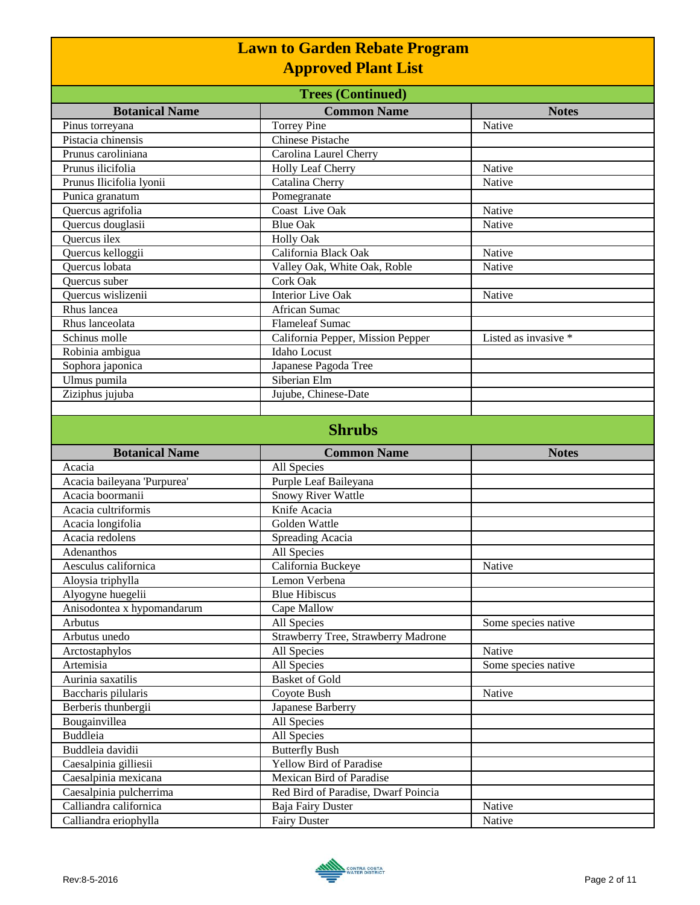| <b>Lawn to Garden Rebate Program</b>              |                                                          |                      |
|---------------------------------------------------|----------------------------------------------------------|----------------------|
| <b>Approved Plant List</b>                        |                                                          |                      |
|                                                   |                                                          |                      |
| <b>Botanical Name</b>                             | <b>Common Name</b>                                       | <b>Notes</b>         |
| Pinus torreyana<br>Pistacia chinensis             | <b>Torrey Pine</b><br><b>Chinese Pistache</b>            | Native               |
| Prunus caroliniana                                |                                                          |                      |
| Prunus ilicifolia                                 | Carolina Laurel Cherry                                   |                      |
|                                                   | Holly Leaf Cherry                                        | Native               |
| Prunus Ilicifolia lyonii                          | Catalina Cherry                                          | Native               |
| Punica granatum                                   | Pomegranate<br>Coast Live Oak                            |                      |
| Quercus agrifolia                                 | <b>Blue Oak</b>                                          | Native<br>Native     |
| Quercus douglasii<br>Quercus ilex                 | <b>Holly Oak</b>                                         |                      |
|                                                   | California Black Oak                                     | Native               |
| Quercus kelloggii<br><b>Ouercus</b> lobata        | Valley Oak, White Oak, Roble                             | Native               |
| Quercus suber                                     | <b>Cork Oak</b>                                          |                      |
| Quercus wislizenii                                | <b>Interior Live Oak</b>                                 | Native               |
| Rhus lancea                                       | African Sumac                                            |                      |
| Rhus lanceolata                                   | <b>Flameleaf Sumac</b>                                   |                      |
| Schinus molle                                     | California Pepper, Mission Pepper                        | Listed as invasive * |
| Robinia ambigua                                   | <b>Idaho</b> Locust                                      |                      |
|                                                   |                                                          |                      |
| Sophora japonica<br>Ulmus pumila                  | Japanese Pagoda Tree<br>Siberian Elm                     |                      |
|                                                   |                                                          |                      |
| Ziziphus jujuba                                   | Jujube, Chinese-Date                                     |                      |
|                                                   |                                                          |                      |
|                                                   | <b>Shrubs</b>                                            |                      |
|                                                   |                                                          |                      |
|                                                   |                                                          |                      |
| <b>Botanical Name</b>                             | <b>Common Name</b>                                       | <b>Notes</b>         |
| Acacia                                            | All Species                                              |                      |
| Acacia baileyana 'Purpurea'                       | Purple Leaf Baileyana                                    |                      |
| Acacia boormanii                                  | Snowy River Wattle                                       |                      |
| Acacia cultriformis                               | Knife Acacia                                             |                      |
| Acacia longifolia                                 | Golden Wattle                                            |                      |
| Acacia redolens                                   | Spreading Acacia                                         |                      |
| Adenanthos                                        | All Species                                              |                      |
| Aesculus californica                              | California Buckeye                                       | Native               |
| Aloysia triphylla                                 | Lemon Verbena                                            |                      |
| Alyogyne huegelii                                 | <b>Blue Hibiscus</b>                                     |                      |
| Anisodontea x hypomandarum                        | Cape Mallow                                              |                      |
| Arbutus                                           | All Species                                              | Some species native  |
| Arbutus unedo                                     | Strawberry Tree, Strawberry Madrone                      |                      |
| Arctostaphylos                                    | All Species                                              | Native               |
| Artemisia                                         | All Species                                              | Some species native  |
| Aurinia saxatilis                                 | <b>Basket of Gold</b>                                    |                      |
| Baccharis pilularis                               | Coyote Bush                                              | Native               |
| Berberis thunbergii                               | Japanese Barberry                                        |                      |
| Bougainvillea                                     | All Species                                              |                      |
| <b>Buddleia</b>                                   | All Species                                              |                      |
| Buddleia davidii                                  | <b>Butterfly Bush</b>                                    |                      |
| Caesalpinia gilliesii                             | Yellow Bird of Paradise                                  |                      |
| Caesalpinia mexicana                              | Mexican Bird of Paradise                                 |                      |
| Caesalpinia pulcherrima<br>Calliandra californica | Red Bird of Paradise, Dwarf Poincia<br>Baja Fairy Duster | Native               |

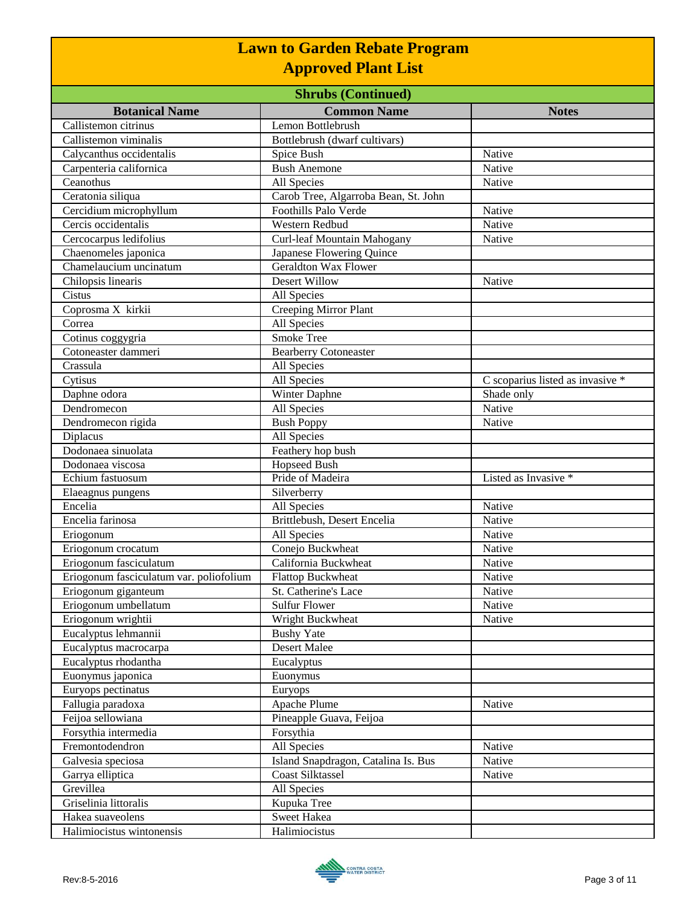| <b>Shrubs (Continued)</b>               |                                      |                                  |
|-----------------------------------------|--------------------------------------|----------------------------------|
| <b>Botanical Name</b>                   | <b>Common Name</b>                   | <b>Notes</b>                     |
| Callistemon citrinus                    | Lemon Bottlebrush                    |                                  |
| Callistemon viminalis                   | Bottlebrush (dwarf cultivars)        |                                  |
| Calycanthus occidentalis                | Spice Bush                           | Native                           |
| Carpenteria californica                 | <b>Bush Anemone</b>                  | Native                           |
| Ceanothus                               | All Species                          | Native                           |
| Ceratonia siliqua                       | Carob Tree, Algarroba Bean, St. John |                                  |
| Cercidium microphyllum                  | <b>Foothills Palo Verde</b>          | Native                           |
| Cercis occidentalis                     | Western Redbud                       | Native                           |
| Cercocarpus ledifolius                  | Curl-leaf Mountain Mahogany          | Native                           |
| Chaenomeles japonica                    | Japanese Flowering Quince            |                                  |
| Chamelaucium uncinatum                  | <b>Geraldton Wax Flower</b>          |                                  |
| Chilopsis linearis                      | Desert Willow                        | Native                           |
| Cistus                                  | All Species                          |                                  |
| Coprosma X kirkii                       | Creeping Mirror Plant                |                                  |
| Correa                                  | All Species                          |                                  |
| Cotinus coggygria                       | <b>Smoke Tree</b>                    |                                  |
| Cotoneaster dammeri                     | <b>Bearberry Cotoneaster</b>         |                                  |
| Crassula                                | All Species                          |                                  |
| Cytisus                                 | All Species                          | C scoparius listed as invasive * |
| Daphne odora                            | Winter Daphne                        | Shade only                       |
| Dendromecon                             | All Species                          | Native                           |
| Dendromecon rigida                      | <b>Bush Poppy</b>                    | Native                           |
| Diplacus                                | All Species                          |                                  |
| Dodonaea sinuolata                      | Feathery hop bush                    |                                  |
| Dodonaea viscosa                        | <b>Hopseed Bush</b>                  |                                  |
| Echium fastuosum                        | Pride of Madeira                     | Listed as Invasive *             |
| Elaeagnus pungens                       | Silverberry                          |                                  |
| Encelia                                 | All Species                          | Native                           |
| Encelia farinosa                        | Brittlebush, Desert Encelia          | Native                           |
| Eriogonum                               | All Species                          | Native                           |
| Eriogonum crocatum                      | Conejo Buckwheat                     | Native                           |
| Eriogonum fasciculatum                  | California Buckwheat                 | Native                           |
| Eriogonum fasciculatum var. poliofolium | <b>Flattop Buckwheat</b>             | Native                           |
| Eriogonum giganteum                     | St. Catherine's Lace                 | Native                           |
| Eriogonum umbellatum                    | <b>Sulfur Flower</b>                 | Native                           |
| Eriogonum wrightii                      | Wright Buckwheat                     | Native                           |
| Eucalyptus lehmannii                    | <b>Bushy Yate</b>                    |                                  |
| Eucalyptus macrocarpa                   | Desert Malee                         |                                  |
| Eucalyptus rhodantha                    | Eucalyptus                           |                                  |
| Euonymus japonica                       | Euonymus                             |                                  |
| Euryops pectinatus                      | Euryops                              |                                  |
| Fallugia paradoxa                       | Apache Plume                         | Native                           |
| Feijoa sellowiana                       | Pineapple Guava, Feijoa              |                                  |
| Forsythia intermedia                    | Forsythia                            |                                  |
| Fremontodendron                         | All Species                          | Native                           |
| Galvesia speciosa                       | Island Snapdragon, Catalina Is. Bus  | Native                           |
| Garrya elliptica                        | <b>Coast Silktassel</b>              | Native                           |
| Grevillea                               | All Species                          |                                  |
| Griselinia littoralis                   | Kupuka Tree                          |                                  |
| Hakea suaveolens                        | Sweet Hakea                          |                                  |
| Halimiocistus wintonensis               | Halimiocistus                        |                                  |

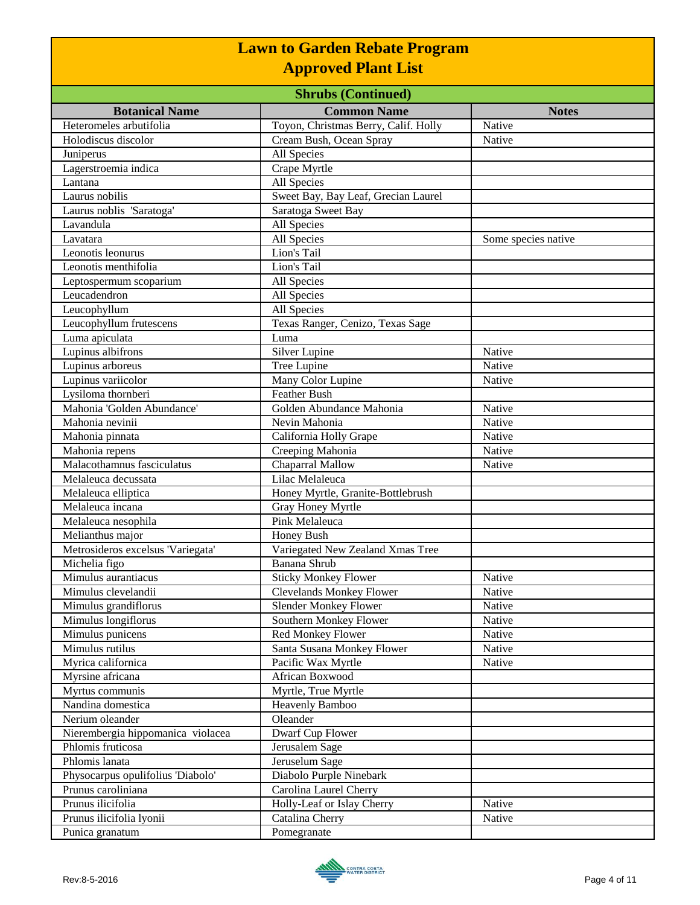| <b>Shrubs (Continued)</b>         |                                      |                     |
|-----------------------------------|--------------------------------------|---------------------|
| <b>Botanical Name</b>             | <b>Common Name</b>                   | <b>Notes</b>        |
| Heteromeles arbutifolia           | Toyon, Christmas Berry, Calif. Holly | Native              |
| Holodiscus discolor               | Cream Bush, Ocean Spray              | Native              |
| Juniperus                         | All Species                          |                     |
| Lagerstroemia indica              | Crape Myrtle                         |                     |
| Lantana                           | All Species                          |                     |
| Laurus nobilis                    | Sweet Bay, Bay Leaf, Grecian Laurel  |                     |
| Laurus noblis 'Saratoga'          | Saratoga Sweet Bay                   |                     |
| Lavandula                         | All Species                          |                     |
| Lavatara                          | All Species                          | Some species native |
| Leonotis leonurus                 | Lion's Tail                          |                     |
| Leonotis menthifolia              | Lion's Tail                          |                     |
| Leptospermum scoparium            | All Species                          |                     |
| Leucadendron                      | All Species                          |                     |
| Leucophyllum                      | All Species                          |                     |
| Leucophyllum frutescens           | Texas Ranger, Cenizo, Texas Sage     |                     |
| Luma apiculata                    | Luma                                 |                     |
| Lupinus albifrons                 | Silver Lupine                        | Native              |
| Lupinus arboreus                  | Tree Lupine                          | Native              |
| Lupinus variicolor                | Many Color Lupine                    | Native              |
| Lysiloma thornberi                | <b>Feather Bush</b>                  |                     |
| Mahonia 'Golden Abundance'        | Golden Abundance Mahonia             | Native              |
| Mahonia nevinii                   | Nevin Mahonia                        | Native              |
| Mahonia pinnata                   | California Holly Grape               | Native              |
| Mahonia repens                    | Creeping Mahonia                     | Native              |
| Malacothamnus fasciculatus        | Chaparral Mallow                     | Native              |
| Melaleuca decussata               | Lilac Melaleuca                      |                     |
| Melaleuca elliptica               | Honey Myrtle, Granite-Bottlebrush    |                     |
| Melaleuca incana                  | Gray Honey Myrtle                    |                     |
| Melaleuca nesophila               | Pink Melaleuca                       |                     |
| Melianthus major                  | Honey Bush                           |                     |
| Metrosideros excelsus 'Variegata' | Variegated New Zealand Xmas Tree     |                     |
| Michelia figo                     | <b>Banana Shrub</b>                  |                     |
| Mimulus aurantiacus               | <b>Sticky Monkey Flower</b>          | Native              |
| Mimulus clevelandii               | <b>Clevelands Monkey Flower</b>      | Native              |
| Mimulus grandiflorus              | <b>Slender Monkey Flower</b>         | Native              |
| Mimulus longiflorus               | Southern Monkey Flower               | Native              |
| Mimulus punicens                  | Red Monkey Flower                    | Native              |
| Mimulus rutilus                   | Santa Susana Monkey Flower           | Native              |
| Myrica californica                | Pacific Wax Myrtle                   | Native              |
| Myrsine africana                  | African Boxwood                      |                     |
| Myrtus communis                   | Myrtle, True Myrtle                  |                     |
| Nandina domestica                 | Heavenly Bamboo                      |                     |
| Nerium oleander                   | Oleander                             |                     |
| Nierembergia hippomanica violacea | Dwarf Cup Flower                     |                     |
| Phlomis fruticosa                 | Jerusalem Sage                       |                     |
| Phlomis lanata                    | Jeruselum Sage                       |                     |
| Physocarpus opulifolius 'Diabolo' | Diabolo Purple Ninebark              |                     |
| Prunus caroliniana                | Carolina Laurel Cherry               |                     |
| Prunus ilicifolia                 | Holly-Leaf or Islay Cherry           | Native              |
| Prunus ilicifolia lyonii          | Catalina Cherry                      | Native              |
| Punica granatum                   | Pomegranate                          |                     |
|                                   |                                      |                     |

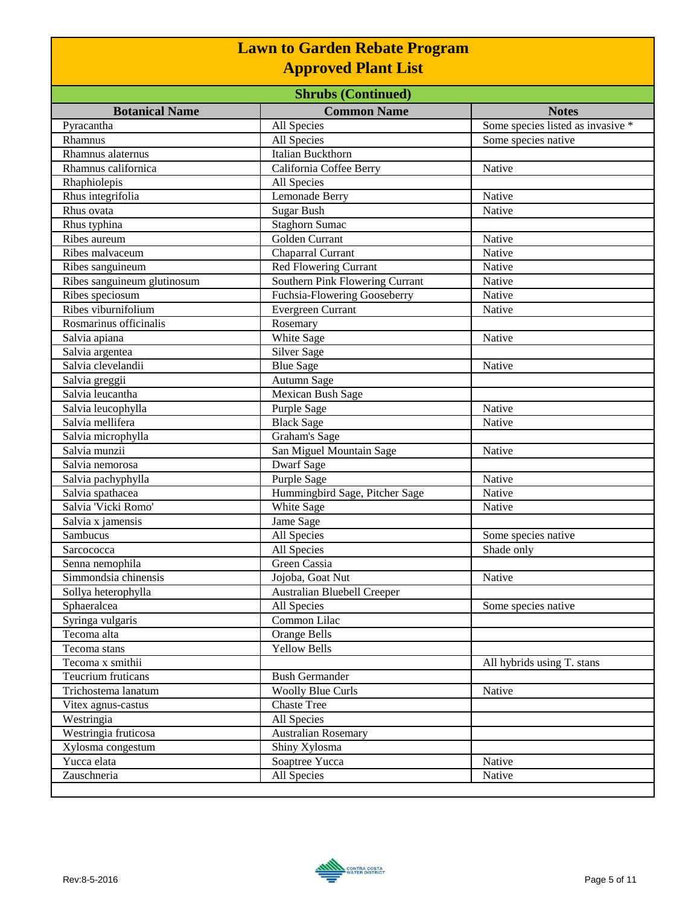| <b>Lawn to Garden Rebate Program</b><br><b>Approved Plant List</b><br><b>Shrubs (Continued)</b> |                                 |                                   |
|-------------------------------------------------------------------------------------------------|---------------------------------|-----------------------------------|
|                                                                                                 |                                 |                                   |
| Pyracantha                                                                                      | All Species                     | Some species listed as invasive * |
| Rhamnus                                                                                         | All Species                     | Some species native               |
| Rhamnus alaternus                                                                               | Italian Buckthorn               |                                   |
| Rhamnus californica                                                                             | California Coffee Berry         | Native                            |
| Rhaphiolepis                                                                                    | All Species                     |                                   |
| Rhus integrifolia                                                                               | Lemonade Berry                  | Native                            |
| Rhus ovata                                                                                      | <b>Sugar Bush</b>               | Native                            |
| Rhus typhina                                                                                    | <b>Staghorn Sumac</b>           |                                   |
| Ribes aureum                                                                                    | Golden Currant                  | Native                            |
| Ribes malvaceum                                                                                 | Chaparral Currant               | Native                            |
| Ribes sanguineum                                                                                | <b>Red Flowering Currant</b>    | Native                            |
| Ribes sanguineum glutinosum                                                                     | Southern Pink Flowering Currant | Native                            |
| Ribes speciosum                                                                                 | Fuchsia-Flowering Gooseberry    | Native                            |
| Ribes viburnifolium                                                                             | Evergreen Currant               | Native                            |
| Rosmarinus officinalis                                                                          | Rosemary                        |                                   |
| Salvia apiana                                                                                   | White Sage                      | Native                            |
| Salvia argentea                                                                                 | <b>Silver Sage</b>              |                                   |
| Salvia clevelandii                                                                              | <b>Blue Sage</b>                | Native                            |
| Salvia greggii                                                                                  | Autumn Sage                     |                                   |
| Salvia leucantha                                                                                | Mexican Bush Sage               |                                   |
| Salvia leucophylla                                                                              | Purple Sage                     | Native                            |
| Salvia mellifera                                                                                | <b>Black Sage</b>               | Native                            |
| Salvia microphylla                                                                              | Graham's Sage                   |                                   |
| Salvia munzii                                                                                   | San Miguel Mountain Sage        | Native                            |
| Salvia nemorosa                                                                                 | Dwarf Sage                      |                                   |
| Salvia pachyphylla                                                                              | Purple Sage                     | Native                            |
| Salvia spathacea                                                                                | Hummingbird Sage, Pitcher Sage  | Native                            |
| Salvia 'Vicki Romo'                                                                             | White Sage                      | Native                            |
| Salvia x jamensis                                                                               | Jame Sage                       |                                   |
| Sambucus                                                                                        | All Species                     | Some species native               |
| Sarcococca                                                                                      | All Species                     | Shade only                        |
| Senna nemophila                                                                                 | Green Cassia                    |                                   |
| Simmondsia chinensis                                                                            | Jojoba, Goat Nut                | Native                            |
| Sollya heterophylla                                                                             | Australian Bluebell Creeper     |                                   |
| Sphaeralcea                                                                                     | All Species                     | Some species native               |
| Syringa vulgaris                                                                                | Common Lilac                    |                                   |
| Tecoma alta                                                                                     | Orange Bells                    |                                   |
| Tecoma stans                                                                                    | <b>Yellow Bells</b>             |                                   |
| Tecoma x smithii                                                                                |                                 | All hybrids using T. stans        |
| Teucrium fruticans                                                                              | <b>Bush Germander</b>           |                                   |
| Trichostema lanatum                                                                             | <b>Woolly Blue Curls</b>        | Native                            |
| Vitex agnus-castus                                                                              | <b>Chaste Tree</b>              |                                   |
| Westringia                                                                                      | All Species                     |                                   |

Westringia fruticosa Australian Rosemary Xylosma congestum Shiny Xylosma

Yucca elata Native Nucca Soaptree Yucca Native Native Native Native Native Native Native Native Native Native Native Native Native Native Native Native Native Native Native Native Native Native Native Native Native Native Zauschneria All Species Native

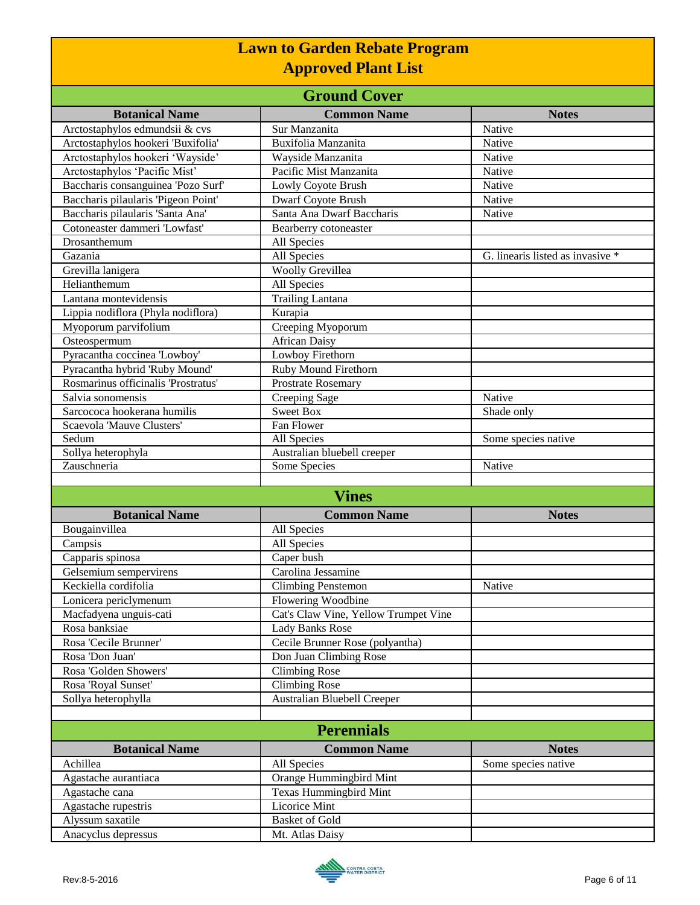| <b>Ground Cover</b>                 |                                      |                                                  |
|-------------------------------------|--------------------------------------|--------------------------------------------------|
| <b>Botanical Name</b>               | <b>Common Name</b>                   | <b>Notes</b>                                     |
| Arctostaphylos edmundsii & cvs      | Sur Manzanita                        | Native                                           |
| Arctostaphylos hookeri 'Buxifolia'  | Buxifolia Manzanita                  | Native                                           |
| Arctostaphylos hookeri 'Wayside'    | Wayside Manzanita                    | Native                                           |
| Arctostaphylos 'Pacific Mist'       | Pacific Mist Manzanita               | Native                                           |
| Baccharis consanguinea 'Pozo Surf'  | Lowly Coyote Brush                   | Native                                           |
| Baccharis pilaularis 'Pigeon Point' | Dwarf Coyote Brush                   | Native                                           |
| Baccharis pilaularis 'Santa Ana'    | Santa Ana Dwarf Baccharis            | Native                                           |
| Cotoneaster dammeri 'Lowfast'       | Bearberry cotoneaster                |                                                  |
| Drosanthemum                        | All Species                          |                                                  |
| Gazania                             | All Species                          | $\overline{G}$ . linearis listed as invasive $*$ |
| Grevilla lanigera                   | Woolly Grevillea                     |                                                  |
| Helianthemum                        | All Species                          |                                                  |
| Lantana montevidensis               | <b>Trailing Lantana</b>              |                                                  |
| Lippia nodiflora (Phyla nodiflora)  | Kurapia                              |                                                  |
| Myoporum parvifolium                | Creeping Myoporum                    |                                                  |
| Osteospermum                        | <b>African Daisy</b>                 |                                                  |
| Pyracantha coccinea 'Lowboy'        | Lowboy Firethorn                     |                                                  |
| Pyracantha hybrid 'Ruby Mound'      | Ruby Mound Firethorn                 |                                                  |
| Rosmarinus officinalis 'Prostratus' | Prostrate Rosemary                   |                                                  |
| Salvia sonomensis                   | Creeping Sage                        | Native                                           |
| Sarcococa hookerana humilis         | <b>Sweet Box</b>                     | Shade only                                       |
| Scaevola 'Mauve Clusters'           | Fan Flower                           |                                                  |
| Sedum                               | <b>All Species</b>                   | Some species native                              |
| Sollya heterophyla                  | Australian bluebell creeper          |                                                  |
| Zauschneria                         | Some Species                         | Native                                           |
|                                     |                                      |                                                  |
|                                     | <b>Vines</b>                         |                                                  |
| <b>Botanical Name</b>               | <b>Common Name</b>                   | <b>Notes</b>                                     |
| Bougainvillea                       | All Species                          |                                                  |
| Campsis                             | All Species                          |                                                  |
| Capparis spinosa                    | Caper bush                           |                                                  |
| Gelsemium sempervirens              | Carolina Jessamine                   |                                                  |
| Keckiella cordifolia                | <b>Climbing Penstemon</b>            | Native                                           |
| Lonicera periclymenum               | Flowering Woodbine                   |                                                  |
| Macfadyena unguis-cati              | Cat's Claw Vine, Yellow Trumpet Vine |                                                  |
| Rosa banksiae                       | <b>Lady Banks Rose</b>               |                                                  |
| Rosa 'Cecile Brunner'               | Cecile Brunner Rose (polyantha)      |                                                  |
| Rosa 'Don Juan'                     | Don Juan Climbing Rose               |                                                  |
| Rosa 'Golden Showers'               | Climbing Rose                        |                                                  |
| Rosa 'Royal Sunset'                 | Climbing Rose                        |                                                  |
| Sollya heterophylla                 | Australian Bluebell Creeper          |                                                  |
|                                     |                                      |                                                  |
|                                     | <b>Perennials</b>                    |                                                  |
| <b>Botanical Name</b>               | <b>Common Name</b>                   | <b>Notes</b>                                     |
| Achillea                            | All Species                          | Some species native                              |
| Agastache aurantiaca                | Orange Hummingbird Mint              |                                                  |
| Agastache cana                      | Texas Hummingbird Mint               |                                                  |
| Agastache rupestris                 | Licorice Mint                        |                                                  |
| Alyssum saxatile                    | <b>Basket of Gold</b>                |                                                  |
| Anacyclus depressus                 | Mt. Atlas Daisy                      |                                                  |

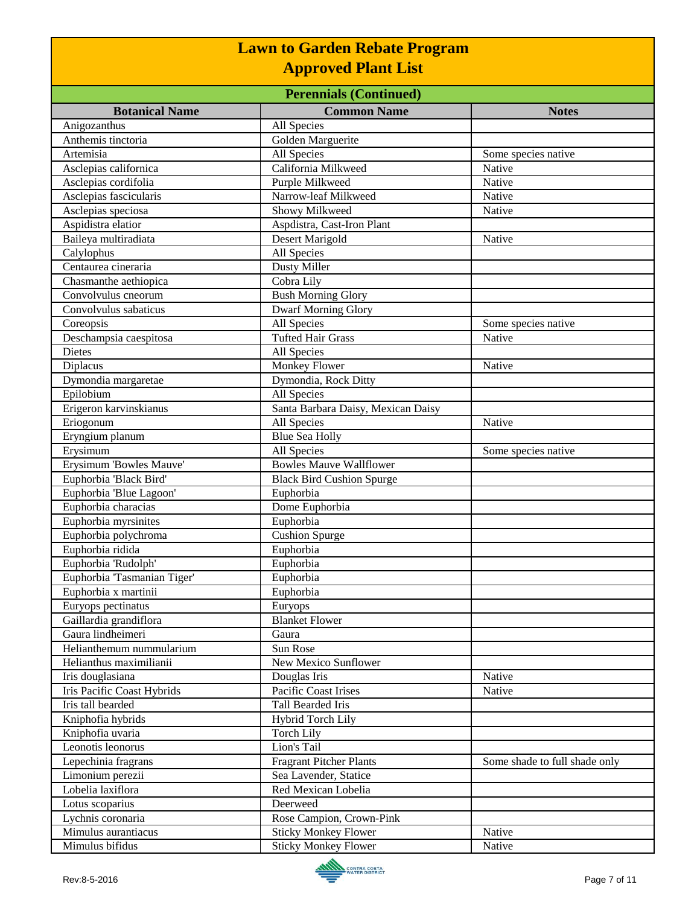| <b>Perennials (Continued)</b> |                                    |                               |
|-------------------------------|------------------------------------|-------------------------------|
| <b>Botanical Name</b>         | <b>Common Name</b>                 | <b>Notes</b>                  |
| Anigozanthus                  | All Species                        |                               |
| Anthemis tinctoria            | Golden Marguerite                  |                               |
| Artemisia                     | All Species                        | Some species native           |
| Asclepias californica         | California Milkweed                | Native                        |
| Asclepias cordifolia          | Purple Milkweed                    | Native                        |
| Asclepias fascicularis        | Narrow-leaf Milkweed               | Native                        |
| Asclepias speciosa            | Showy Milkweed                     | Native                        |
| Aspidistra elatior            | Aspdistra, Cast-Iron Plant         |                               |
| Baileya multiradiata          | Desert Marigold                    | Native                        |
| Calylophus                    | All Species                        |                               |
| Centaurea cineraria           | <b>Dusty Miller</b>                |                               |
| Chasmanthe aethiopica         | Cobra Lily                         |                               |
| Convolvulus cneorum           | <b>Bush Morning Glory</b>          |                               |
| Convolvulus sabaticus         | <b>Dwarf Morning Glory</b>         |                               |
| Coreopsis                     | All Species                        | Some species native           |
| Deschampsia caespitosa        | <b>Tufted Hair Grass</b>           | Native                        |
| <b>Dietes</b>                 | All Species                        |                               |
| Diplacus                      | <b>Monkey Flower</b>               | Native                        |
| Dymondia margaretae           | Dymondia, Rock Ditty               |                               |
| Epilobium                     | All Species                        |                               |
| Erigeron karvinskianus        | Santa Barbara Daisy, Mexican Daisy |                               |
| Eriogonum                     | All Species                        | Native                        |
| Eryngium planum               | <b>Blue Sea Holly</b>              |                               |
| Erysimum                      | All Species                        | Some species native           |
| Erysimum 'Bowles Mauve'       | <b>Bowles Mauve Wallflower</b>     |                               |
| Euphorbia 'Black Bird'        | <b>Black Bird Cushion Spurge</b>   |                               |
| Euphorbia 'Blue Lagoon'       | Euphorbia                          |                               |
| Euphorbia characias           | Dome Euphorbia                     |                               |
| Euphorbia myrsinites          | Euphorbia                          |                               |
| Euphorbia polychroma          | <b>Cushion Spurge</b>              |                               |
| Euphorbia ridida              | Euphorbia                          |                               |
| Euphorbia 'Rudolph'           | Euphorbia                          |                               |
| Euphorbia 'Tasmanian Tiger'   | Euphorbia                          |                               |
| Euphorbia x martinii          | Euphorbia                          |                               |
| Euryops pectinatus            | Euryops                            |                               |
| Gaillardia grandiflora        | <b>Blanket Flower</b>              |                               |
| Gaura lindheimeri             | Gaura                              |                               |
| Helianthemum nummularium      | Sun Rose                           |                               |
| Helianthus maximilianii       | New Mexico Sunflower               |                               |
| Iris douglasiana              | Douglas Iris                       | Native                        |
| Iris Pacific Coast Hybrids    | Pacific Coast Irises               | Native                        |
| Iris tall bearded             | Tall Bearded Iris                  |                               |
| Kniphofia hybrids             | <b>Hybrid Torch Lily</b>           |                               |
| Kniphofia uvaria              | <b>Torch Lily</b>                  |                               |
| Leonotis leonorus             | Lion's Tail                        |                               |
| Lepechinia fragrans           | <b>Fragrant Pitcher Plants</b>     | Some shade to full shade only |
| Limonium perezii              | Sea Lavender, Statice              |                               |
| Lobelia laxiflora             | Red Mexican Lobelia                |                               |
| Lotus scoparius               | Deerweed                           |                               |
| Lychnis coronaria             | Rose Campion, Crown-Pink           |                               |
| Mimulus aurantiacus           | <b>Sticky Monkey Flower</b>        | Native                        |
| Mimulus bifidus               | <b>Sticky Monkey Flower</b>        | Native                        |

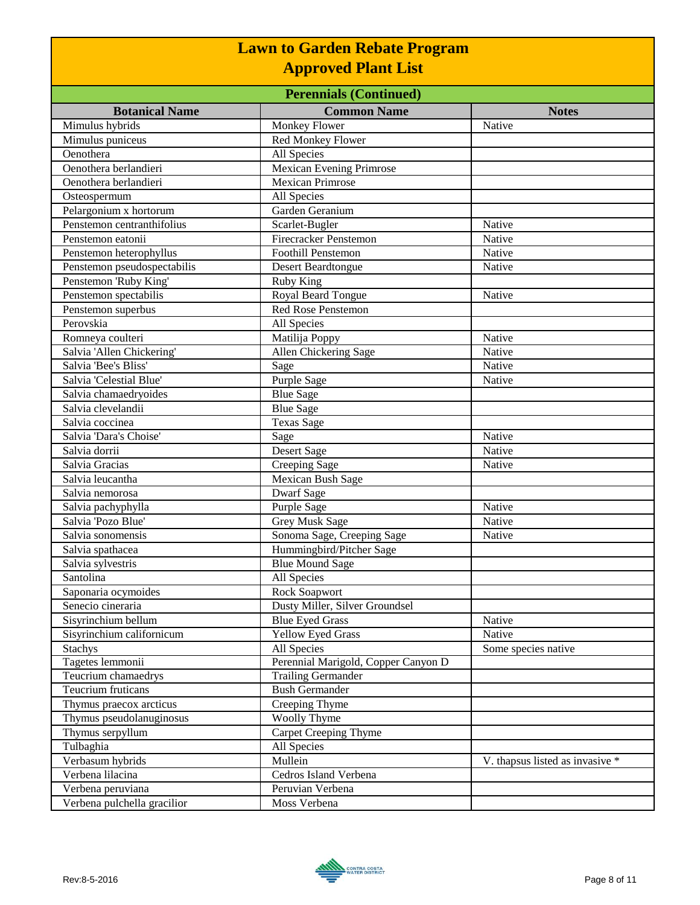| <b>Perennials (Continued)</b> |                                     |                                 |
|-------------------------------|-------------------------------------|---------------------------------|
| <b>Botanical Name</b>         | <b>Common Name</b>                  | <b>Notes</b>                    |
| Mimulus hybrids               | Monkey Flower                       | Native                          |
| Mimulus puniceus              | Red Monkey Flower                   |                                 |
| Oenothera                     | All Species                         |                                 |
| Oenothera berlandieri         | <b>Mexican Evening Primrose</b>     |                                 |
| Oenothera berlandieri         | <b>Mexican Primrose</b>             |                                 |
| Osteospermum                  | All Species                         |                                 |
| Pelargonium x hortorum        | Garden Geranium                     |                                 |
| Penstemon centranthifolius    | Scarlet-Bugler                      | Native                          |
| Penstemon eatonii             | <b>Firecracker Penstemon</b>        | Native                          |
| Penstemon heterophyllus       | <b>Foothill Penstemon</b>           | Native                          |
| Penstemon pseudospectabilis   | <b>Desert Beardtongue</b>           | Native                          |
| Penstemon 'Ruby King'         | Ruby King                           |                                 |
| Penstemon spectabilis         | Royal Beard Tongue                  | Native                          |
| Penstemon superbus            | <b>Red Rose Penstemon</b>           |                                 |
| Perovskia                     | All Species                         |                                 |
| Romneya coulteri              | Matilija Poppy                      | Native                          |
| Salvia 'Allen Chickering'     | Allen Chickering Sage               | Native                          |
| Salvia 'Bee's Bliss'          | Sage                                | Native                          |
| Salvia 'Celestial Blue'       | Purple Sage                         | Native                          |
| Salvia chamaedryoides         | <b>Blue Sage</b>                    |                                 |
| Salvia clevelandii            | <b>Blue Sage</b>                    |                                 |
| Salvia coccinea               | <b>Texas Sage</b>                   |                                 |
| Salvia 'Dara's Choise'        | Sage                                | Native                          |
| Salvia dorrii                 | Desert Sage                         | Native                          |
| Salvia Gracias                | Creeping Sage                       | Native                          |
| Salvia leucantha              | Mexican Bush Sage                   |                                 |
| Salvia nemorosa               | <b>Dwarf Sage</b>                   |                                 |
| Salvia pachyphylla            | Purple Sage                         | Native                          |
| Salvia 'Pozo Blue'            | Grey Musk Sage                      | Native                          |
| Salvia sonomensis             | Sonoma Sage, Creeping Sage          | Native                          |
| Salvia spathacea              | Hummingbird/Pitcher Sage            |                                 |
| Salvia sylvestris             | <b>Blue Mound Sage</b>              |                                 |
| Santolina                     | All Species                         |                                 |
| Saponaria ocymoides           | Rock Soapwort                       |                                 |
| Senecio cineraria             | Dusty Miller, Silver Groundsel      |                                 |
| Sisyrinchium bellum           | <b>Blue Eyed Grass</b>              | Native                          |
| Sisyrinchium californicum     | <b>Yellow Eyed Grass</b>            | Native                          |
| <b>Stachys</b>                | All Species                         | Some species native             |
| Tagetes lemmonii              | Perennial Marigold, Copper Canyon D |                                 |
| Teucrium chamaedrys           | <b>Trailing Germander</b>           |                                 |
| Teucrium fruticans            | <b>Bush Germander</b>               |                                 |
| Thymus praecox arcticus       | Creeping Thyme                      |                                 |
| Thymus pseudolanuginosus      | <b>Woolly Thyme</b>                 |                                 |
| Thymus serpyllum              | Carpet Creeping Thyme               |                                 |
| Tulbaghia                     | All Species                         |                                 |
| Verbasum hybrids              | Mullein                             | V. thapsus listed as invasive * |
| Verbena lilacina              | Cedros Island Verbena               |                                 |
| Verbena peruviana             | Peruvian Verbena                    |                                 |
| Verbena pulchella gracilior   | Moss Verbena                        |                                 |

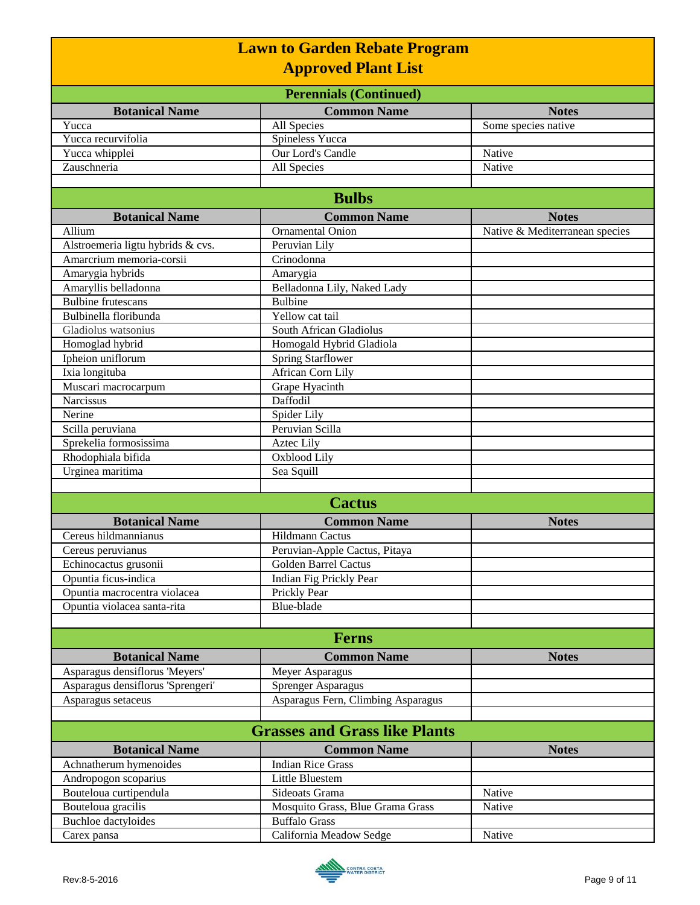|                                   | <b>Lawn to Garden Rebate Program</b> |                                |
|-----------------------------------|--------------------------------------|--------------------------------|
|                                   | <b>Approved Plant List</b>           |                                |
|                                   | <b>Perennials (Continued)</b>        |                                |
| <b>Botanical Name</b>             | <b>Common Name</b>                   | <b>Notes</b>                   |
| Yucca                             | All Species                          | Some species native            |
| Yucca recurvifolia                | <b>Spineless Yucca</b>               |                                |
| Yucca whipplei                    | <b>Our Lord's Candle</b>             | Native                         |
| Zauschneria                       | All Species                          | Native                         |
|                                   |                                      |                                |
|                                   | <b>Bulbs</b>                         |                                |
| <b>Botanical Name</b>             | <b>Common Name</b>                   | <b>Notes</b>                   |
| Allium                            | <b>Ornamental Onion</b>              | Native & Mediterranean species |
| Alstroemeria ligtu hybrids & cvs. | Peruvian Lily                        |                                |
| Amarcrium memoria-corsii          | Crinodonna                           |                                |
| Amarygia hybrids                  | Amarygia                             |                                |
| Amaryllis belladonna              | Belladonna Lily, Naked Lady          |                                |
| <b>Bulbine</b> frutescans         | Bulbine                              |                                |
| Bulbinella floribunda             | Yellow cat tail                      |                                |
| Gladiolus watsonius               | South African Gladiolus              |                                |
| Homoglad hybrid                   | Homogald Hybrid Gladiola             |                                |
| Ipheion uniflorum                 | <b>Spring Starflower</b>             |                                |
| Ixia longituba                    | African Corn Lily                    |                                |
| Muscari macrocarpum               | Grape Hyacinth                       |                                |
| <b>Narcissus</b>                  | Daffodil                             |                                |
| Nerine                            | Spider Lily                          |                                |
| Scilla peruviana                  | Peruvian Scilla                      |                                |
| Sprekelia formosissima            | <b>Aztec Lily</b>                    |                                |
| Rhodophiala bifida                | Oxblood Lily                         |                                |
| Urginea maritima                  | Sea Squill                           |                                |
|                                   |                                      |                                |
|                                   | <b>Cactus</b>                        |                                |
| <b>Botanical Name</b>             | <b>Common Name</b>                   | <b>Notes</b>                   |
| Cereus hildmannianus              | <b>Hildmann Cactus</b>               |                                |
| Cereus peruvianus                 | Peruvian-Apple Cactus, Pitaya        |                                |
| Echinocactus grusonii             | <b>Golden Barrel Cactus</b>          |                                |
| Opuntia ficus-indica              | Indian Fig Prickly Pear              |                                |
| Opuntia macrocentra violacea      | Prickly Pear                         |                                |
| Opuntia violacea santa-rita       | Blue-blade                           |                                |
|                                   |                                      |                                |
|                                   | <b>Ferns</b>                         |                                |
| <b>Botanical Name</b>             | <b>Common Name</b>                   | <b>Notes</b>                   |
| Asparagus densiflorus 'Meyers'    | Meyer Asparagus                      |                                |
| Asparagus densiflorus 'Sprengeri' | Sprenger Asparagus                   |                                |
| Asparagus setaceus                | Asparagus Fern, Climbing Asparagus   |                                |
|                                   |                                      |                                |
|                                   | <b>Grasses and Grass like Plants</b> |                                |
| <b>Botanical Name</b>             | <b>Common Name</b>                   | <b>Notes</b>                   |
| Achnatherum hymenoides            | <b>Indian Rice Grass</b>             |                                |
| Andropogon scoparius              | Little Bluestem                      |                                |
| Bouteloua curtipendula            | Sideoats Grama                       | Native                         |
| Bouteloua gracilis                | Mosquito Grass, Blue Grama Grass     | Native                         |
| <b>Buchloe</b> dactyloides        | <b>Buffalo Grass</b>                 |                                |
| Carex pansa                       | California Meadow Sedge              | Native                         |

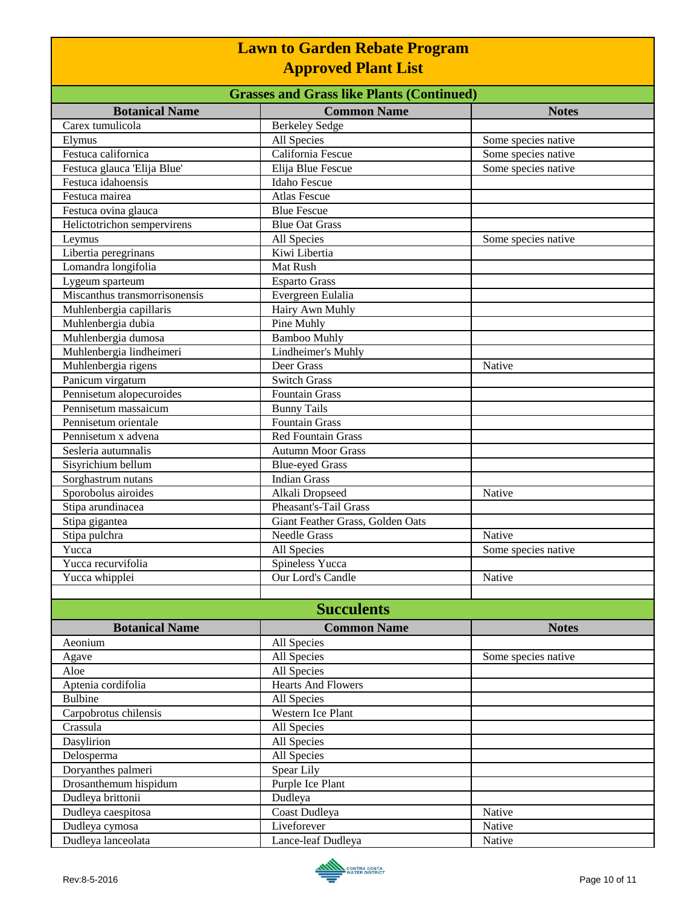| <b>Lawn to Garden Rebate Program</b><br><b>Approved Plant List</b><br><b>Grasses and Grass like Plants (Continued)</b> |                                  |                     |
|------------------------------------------------------------------------------------------------------------------------|----------------------------------|---------------------|
|                                                                                                                        |                                  |                     |
| Carex tumulicola                                                                                                       | Berkeley Sedge                   |                     |
| Elymus                                                                                                                 | All Species                      | Some species native |
| Festuca californica                                                                                                    | California Fescue                | Some species native |
| Festuca glauca 'Elija Blue'                                                                                            | Elija Blue Fescue                | Some species native |
| Festuca idahoensis                                                                                                     | Idaho Fescue                     |                     |
| Festuca mairea                                                                                                         | <b>Atlas Fescue</b>              |                     |
| Festuca ovina glauca                                                                                                   | <b>Blue Fescue</b>               |                     |
| Helictotrichon sempervirens                                                                                            | <b>Blue Oat Grass</b>            |                     |
| Leymus                                                                                                                 | All Species                      | Some species native |
| Libertia peregrinans                                                                                                   | Kiwi Libertia                    |                     |
| Lomandra longifolia                                                                                                    | Mat Rush                         |                     |
| Lygeum sparteum                                                                                                        | <b>Esparto Grass</b>             |                     |
| Miscanthus transmorrisonensis                                                                                          | Evergreen Eulalia                |                     |
| Muhlenbergia capillaris                                                                                                | Hairy Awn Muhly                  |                     |
| Muhlenbergia dubia                                                                                                     | Pine Muhly                       |                     |
| Muhlenbergia dumosa                                                                                                    | <b>Bamboo Muhly</b>              |                     |
| Muhlenbergia lindheimeri                                                                                               | Lindheimer's Muhly               |                     |
| Muhlenbergia rigens                                                                                                    | Deer Grass                       | Native              |
| Panicum virgatum                                                                                                       | <b>Switch Grass</b>              |                     |
| Pennisetum alopecuroides                                                                                               | Fountain Grass                   |                     |
| Pennisetum massaicum                                                                                                   | <b>Bunny Tails</b>               |                     |
| Pennisetum orientale                                                                                                   | <b>Fountain Grass</b>            |                     |
| Pennisetum x advena                                                                                                    | <b>Red Fountain Grass</b>        |                     |
| Sesleria autumnalis                                                                                                    | <b>Autumn Moor Grass</b>         |                     |
| Sisyrichium bellum                                                                                                     | <b>Blue-eyed Grass</b>           |                     |
| Sorghastrum nutans                                                                                                     | <b>Indian Grass</b>              |                     |
| Sporobolus airoides                                                                                                    | Alkali Dropseed                  | Native              |
| Stipa arundinacea                                                                                                      | Pheasant's-Tail Grass            |                     |
| Stipa gigantea                                                                                                         | Giant Feather Grass, Golden Oats |                     |
| Stipa pulchra                                                                                                          | Needle Grass                     | Native              |
| Yucca                                                                                                                  | All Species                      | Some species native |
| Yucca recurvifolia                                                                                                     | Spineless Yucca                  |                     |
| Yucca whipplei                                                                                                         | Our Lord's Candle                | Native              |
|                                                                                                                        |                                  |                     |
|                                                                                                                        | <b>Succulents</b>                |                     |
| <b>Botanical Name</b>                                                                                                  | <b>Common Name</b>               | <b>Notes</b>        |
| Aeonium                                                                                                                | All Species                      |                     |
| Agave                                                                                                                  | All Species                      | Some species native |
| Aloe                                                                                                                   | All Species                      |                     |
| Aptenia cordifolia                                                                                                     | <b>Hearts And Flowers</b>        |                     |
| <b>Bulbine</b>                                                                                                         | All Species                      |                     |
| Carpobrotus chilensis                                                                                                  | Western Ice Plant                |                     |
| Crassula                                                                                                               | All Species                      |                     |
| Dasylirion                                                                                                             | All Species                      |                     |
| Delosperma                                                                                                             | All Species                      |                     |
| Doryanthes palmeri                                                                                                     | Spear Lily                       |                     |
| Drosanthemum hispidum                                                                                                  | Purple Ice Plant                 |                     |
| Dudleya brittonii                                                                                                      | Dudleya                          |                     |
| Dudleya caespitosa                                                                                                     | Coast Dudleya                    | Native              |
| Dudleya cymosa                                                                                                         | Liveforever                      | Native              |
| Dudleya lanceolata                                                                                                     | Lance-leaf Dudleya               | Native              |